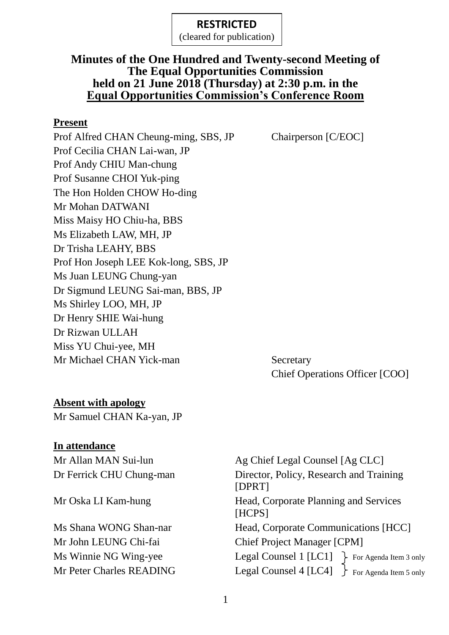(cleared for publication)

## **Minutes of the One Hundred and Twenty-second Meeting of The Equal Opportunities Commission held on 21 June 2018 (Thursday) at 2:30 p.m. in the Equal Opportunities Commission's Conference Room**

#### **Present**

Prof Alfred CHAN Cheung-ming, SBS, JP Chairperson [C/EOC] Prof Cecilia CHAN Lai-wan, JP Prof Andy CHIU Man-chung Prof Susanne CHOI Yuk-ping The Hon Holden CHOW Ho-ding Mr Mohan DATWANI Miss Maisy HO Chiu-ha, BBS Ms Elizabeth LAW, MH, JP Dr Trisha LEAHY, BBS Prof Hon Joseph LEE Kok-long, SBS, JP Ms Juan LEUNG Chung-yan Dr Sigmund LEUNG Sai-man, BBS, JP Ms Shirley LOO, MH, JP Dr Henry SHIE Wai-hung Dr Rizwan ULLAH Miss YU Chui-yee, MH Mr Michael CHAN Yick-man Secretary

Chief Operations Officer [COO]

### **Absent with apology**

Mr Samuel CHAN Ka-yan, JP

#### **In attendance**

Ms Winnie NG Wing-yee

Mr Allan MAN Sui-lun Ag Chief Legal Counsel [Ag CLC] Dr Ferrick CHU Chung-man Director, Policy, Research and Training [DPRT] Mr Oska LI Kam-hung Head, Corporate Planning and Services [HCPS] Ms Shana WONG Shan-nar Head, Corporate Communications [HCC] Mr John LEUNG Chi-fai Chief Project Manager [CPM] Mr Peter Charles READING Legal Counsel 4  $[LC4]$  For Agenda Item 5 only Legal Counsel 1  $[LC1]$  For Agenda Item 3 only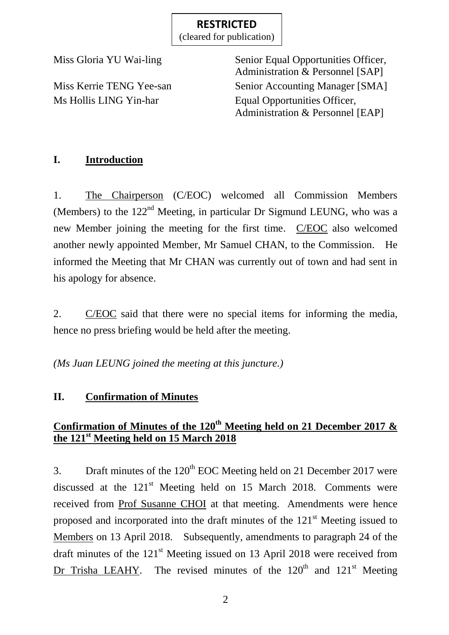(cleared for publication)

Miss Gloria YU Wai-ling Senior Equal Opportunities Officer, Administration & Personnel [SAP] Miss Kerrie TENG Yee-san Senior Accounting Manager [SMA] Ms Hollis LING Yin-har Equal Opportunities Officer, Administration & Personnel [EAP]

## **I. Introduction**

1. The Chairperson (C/EOC) welcomed all Commission Members (Members) to the  $122<sup>nd</sup>$  Meeting, in particular Dr Sigmund LEUNG, who was a new Member joining the meeting for the first time. C/EOC also welcomed another newly appointed Member, Mr Samuel CHAN, to the Commission. He informed the Meeting that Mr CHAN was currently out of town and had sent in his apology for absence.

2. C/EOC said that there were no special items for informing the media, hence no press briefing would be held after the meeting.

*(Ms Juan LEUNG joined the meeting at this juncture.)*

# **II. Confirmation of Minutes**

# **Confirmation of Minutes of the 120th Meeting held on 21 December 2017 & the 121st Meeting held on 15 March 2018**

3. Draft minutes of the  $120<sup>th</sup>$  EOC Meeting held on 21 December 2017 were discussed at the  $121<sup>st</sup>$  Meeting held on 15 March 2018. Comments were received from Prof Susanne CHOI at that meeting. Amendments were hence proposed and incorporated into the draft minutes of the  $121<sup>st</sup>$  Meeting issued to Members on 13 April 2018. Subsequently, amendments to paragraph 24 of the draft minutes of the  $121<sup>st</sup>$  Meeting issued on 13 April 2018 were received from Dr Trisha LEAHY. The revised minutes of the  $120<sup>th</sup>$  and  $121<sup>st</sup>$  Meeting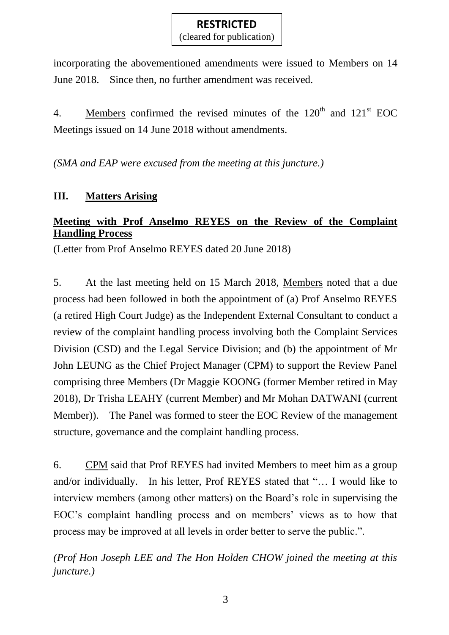(cleared for publication)

incorporating the abovementioned amendments were issued to Members on 14 June 2018. Since then, no further amendment was received.

4. Members confirmed the revised minutes of the  $120<sup>th</sup>$  and  $121<sup>st</sup>$  EOC Meetings issued on 14 June 2018 without amendments.

*(SMA and EAP were excused from the meeting at this juncture.)*

## **III. Matters Arising**

## **Meeting with Prof Anselmo REYES on the Review of the Complaint Handling Process**

(Letter from Prof Anselmo REYES dated 20 June 2018)

5. At the last meeting held on 15 March 2018, Members noted that a due process had been followed in both the appointment of (a) Prof Anselmo REYES (a retired High Court Judge) as the Independent External Consultant to conduct a review of the complaint handling process involving both the Complaint Services Division (CSD) and the Legal Service Division; and (b) the appointment of Mr John LEUNG as the Chief Project Manager (CPM) to support the Review Panel comprising three Members (Dr Maggie KOONG (former Member retired in May 2018), Dr Trisha LEAHY (current Member) and Mr Mohan DATWANI (current Member)). The Panel was formed to steer the EOC Review of the management structure, governance and the complaint handling process.

6. CPM said that Prof REYES had invited Members to meet him as a group and/or individually. In his letter, Prof REYES stated that "… I would like to interview members (among other matters) on the Board's role in supervising the EOC's complaint handling process and on members' views as to how that process may be improved at all levels in order better to serve the public.".

*(Prof Hon Joseph LEE and The Hon Holden CHOW joined the meeting at this juncture.)*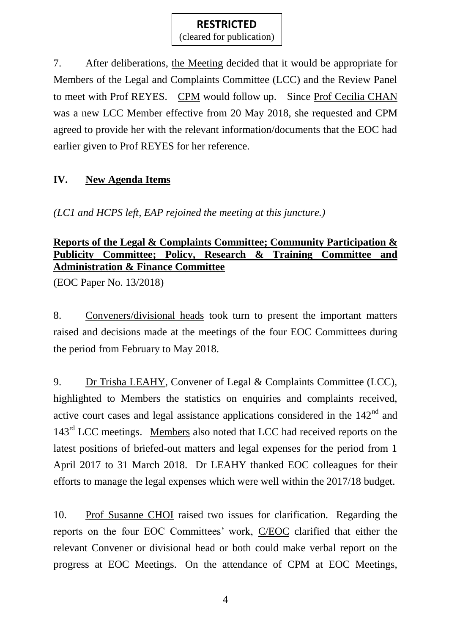(cleared for publication)

7. After deliberations, the Meeting decided that it would be appropriate for Members of the Legal and Complaints Committee (LCC) and the Review Panel to meet with Prof REYES. CPM would follow up. Since Prof Cecilia CHAN was a new LCC Member effective from 20 May 2018, she requested and CPM agreed to provide her with the relevant information/documents that the EOC had earlier given to Prof REYES for her reference.

### **IV. New Agenda Items**

*(LC1 and HCPS left, EAP rejoined the meeting at this juncture.)*

### **Reports of the Legal & Complaints Committee; Community Participation & Publicity Committee; Policy, Research & Training Committee and Administration & Finance Committee**

(EOC Paper No. 13/2018)

8. Conveners/divisional heads took turn to present the important matters raised and decisions made at the meetings of the four EOC Committees during the period from February to May 2018.

9. Dr Trisha LEAHY, Convener of Legal & Complaints Committee (LCC), highlighted to Members the statistics on enquiries and complaints received, active court cases and legal assistance applications considered in the  $142<sup>nd</sup>$  and 143<sup>rd</sup> LCC meetings. Members also noted that LCC had received reports on the latest positions of briefed-out matters and legal expenses for the period from 1 April 2017 to 31 March 2018. Dr LEAHY thanked EOC colleagues for their efforts to manage the legal expenses which were well within the 2017/18 budget.

10. Prof Susanne CHOI raised two issues for clarification. Regarding the reports on the four EOC Committees' work, C/EOC clarified that either the relevant Convener or divisional head or both could make verbal report on the progress at EOC Meetings. On the attendance of CPM at EOC Meetings,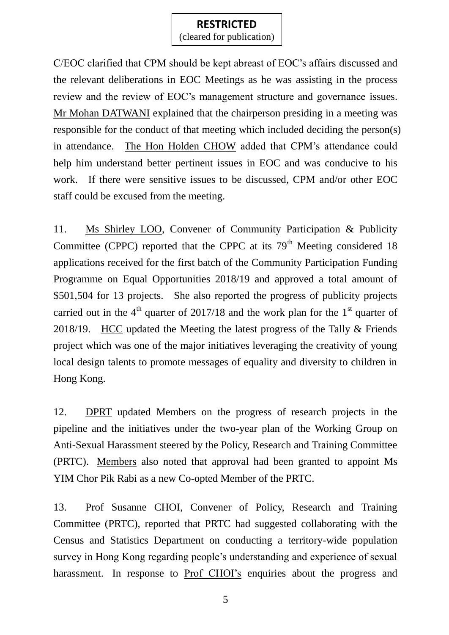(cleared for publication)

C/EOC clarified that CPM should be kept abreast of EOC's affairs discussed and the relevant deliberations in EOC Meetings as he was assisting in the process review and the review of EOC's management structure and governance issues. Mr Mohan DATWANI explained that the chairperson presiding in a meeting was responsible for the conduct of that meeting which included deciding the person(s) in attendance. The Hon Holden CHOW added that CPM's attendance could help him understand better pertinent issues in EOC and was conducive to his work. If there were sensitive issues to be discussed, CPM and/or other EOC staff could be excused from the meeting.

11. Ms Shirley LOO, Convener of Community Participation & Publicity Committee (CPPC) reported that the CPPC at its  $79<sup>th</sup>$  Meeting considered 18 applications received for the first batch of the Community Participation Funding Programme on Equal Opportunities 2018/19 and approved a total amount of \$501,504 for 13 projects. She also reported the progress of publicity projects carried out in the  $4<sup>th</sup>$  quarter of 2017/18 and the work plan for the 1<sup>st</sup> quarter of 2018/19. HCC updated the Meeting the latest progress of the Tally & Friends project which was one of the major initiatives leveraging the creativity of young local design talents to promote messages of equality and diversity to children in Hong Kong.

12. DPRT updated Members on the progress of research projects in the pipeline and the initiatives under the two-year plan of the Working Group on Anti-Sexual Harassment steered by the Policy, Research and Training Committee (PRTC). Members also noted that approval had been granted to appoint Ms YIM Chor Pik Rabi as a new Co-opted Member of the PRTC.

13. Prof Susanne CHOI, Convener of Policy, Research and Training Committee (PRTC), reported that PRTC had suggested collaborating with the Census and Statistics Department on conducting a territory-wide population survey in Hong Kong regarding people's understanding and experience of sexual harassment. In response to Prof CHOI's enquiries about the progress and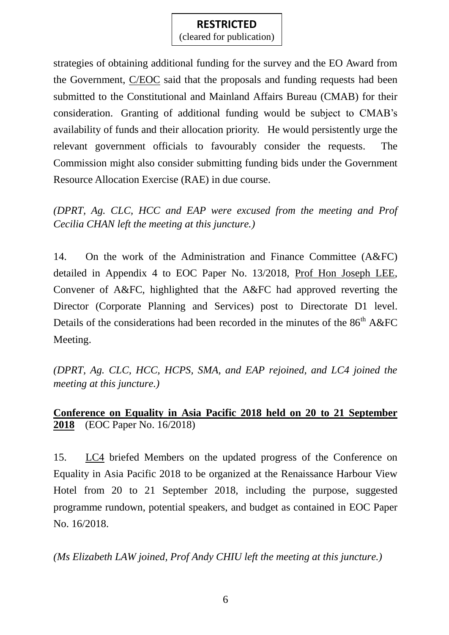(cleared for publication)

strategies of obtaining additional funding for the survey and the EO Award from the Government, C/EOC said that the proposals and funding requests had been submitted to the Constitutional and Mainland Affairs Bureau (CMAB) for their consideration. Granting of additional funding would be subject to CMAB's availability of funds and their allocation priority. He would persistently urge the relevant government officials to favourably consider the requests. The Commission might also consider submitting funding bids under the Government Resource Allocation Exercise (RAE) in due course.

*(DPRT, Ag. CLC, HCC and EAP were excused from the meeting and Prof Cecilia CHAN left the meeting at this juncture.)*

14. On the work of the Administration and Finance Committee (A&FC) detailed in Appendix 4 to EOC Paper No. 13/2018, Prof Hon Joseph LEE, Convener of A&FC, highlighted that the A&FC had approved reverting the Director (Corporate Planning and Services) post to Directorate D1 level. Details of the considerations had been recorded in the minutes of the  $86<sup>th</sup> A&FC$ Meeting.

*(DPRT, Ag. CLC, HCC, HCPS, SMA, and EAP rejoined, and LC4 joined the meeting at this juncture.)*

## **Conference on Equality in Asia Pacific 2018 held on 20 to 21 September 2018** (EOC Paper No. 16/2018)

15. LC4 briefed Members on the updated progress of the Conference on Equality in Asia Pacific 2018 to be organized at the Renaissance Harbour View Hotel from 20 to 21 September 2018, including the purpose, suggested programme rundown, potential speakers, and budget as contained in EOC Paper No. 16/2018.

*(Ms Elizabeth LAW joined, Prof Andy CHIU left the meeting at this juncture.)*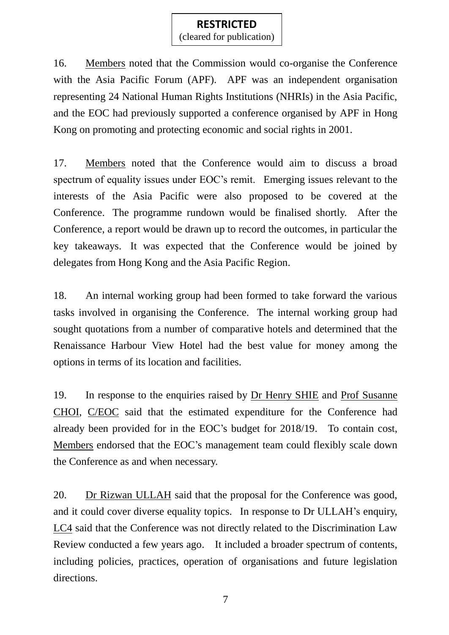(cleared for publication)

16. Members noted that the Commission would co-organise the Conference with the Asia Pacific Forum (APF). APF was an independent organisation representing 24 National Human Rights Institutions (NHRIs) in the Asia Pacific, and the EOC had previously supported a conference organised by APF in Hong Kong on promoting and protecting economic and social rights in 2001.

17. Members noted that the Conference would aim to discuss a broad spectrum of equality issues under EOC's remit. Emerging issues relevant to the interests of the Asia Pacific were also proposed to be covered at the Conference. The programme rundown would be finalised shortly. After the Conference, a report would be drawn up to record the outcomes, in particular the key takeaways. It was expected that the Conference would be joined by delegates from Hong Kong and the Asia Pacific Region.

18. An internal working group had been formed to take forward the various tasks involved in organising the Conference. The internal working group had sought quotations from a number of comparative hotels and determined that the Renaissance Harbour View Hotel had the best value for money among the options in terms of its location and facilities.

19. In response to the enquiries raised by Dr Henry SHIE and Prof Susanne CHOI, C/EOC said that the estimated expenditure for the Conference had already been provided for in the EOC's budget for 2018/19. To contain cost, Members endorsed that the EOC's management team could flexibly scale down the Conference as and when necessary.

20. Dr Rizwan ULLAH said that the proposal for the Conference was good, and it could cover diverse equality topics. In response to Dr ULLAH's enquiry, LC4 said that the Conference was not directly related to the Discrimination Law Review conducted a few years ago. It included a broader spectrum of contents, including policies, practices, operation of organisations and future legislation directions.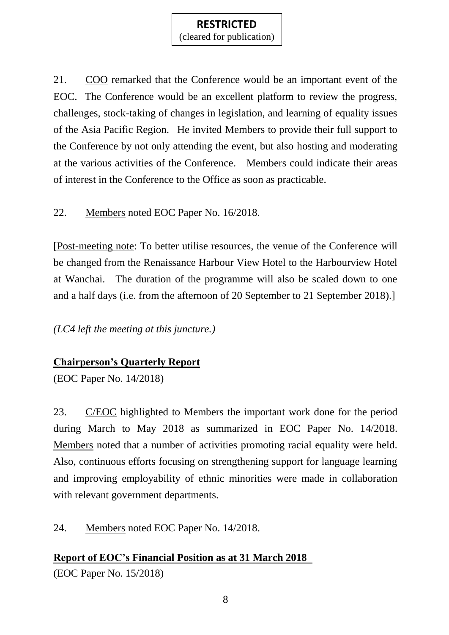(cleared for publication)

21. COO remarked that the Conference would be an important event of the EOC. The Conference would be an excellent platform to review the progress, challenges, stock-taking of changes in legislation, and learning of equality issues of the Asia Pacific Region. He invited Members to provide their full support to the Conference by not only attending the event, but also hosting and moderating at the various activities of the Conference. Members could indicate their areas of interest in the Conference to the Office as soon as practicable.

22. Members noted EOC Paper No. 16/2018.

[Post-meeting note: To better utilise resources, the venue of the Conference will be changed from the Renaissance Harbour View Hotel to the Harbourview Hotel at Wanchai. The duration of the programme will also be scaled down to one and a half days (i.e. from the afternoon of 20 September to 21 September 2018).]

*(LC4 left the meeting at this juncture.)*

### **Chairperson's Quarterly Report**

(EOC Paper No. 14/2018)

23. C/EOC highlighted to Members the important work done for the period during March to May 2018 as summarized in EOC Paper No. 14/2018. Members noted that a number of activities promoting racial equality were held. Also, continuous efforts focusing on strengthening support for language learning and improving employability of ethnic minorities were made in collaboration with relevant government departments.

24. Members noted EOC Paper No. 14/2018.

**Report of EOC's Financial Position as at 31 March 2018** (EOC Paper No. 15/2018)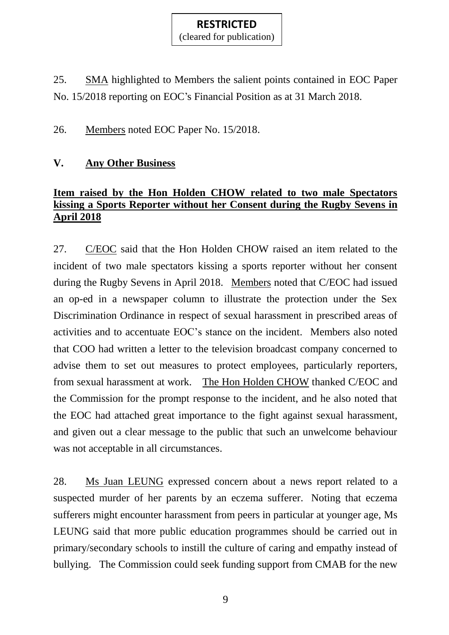(cleared for publication)

25. SMA highlighted to Members the salient points contained in EOC Paper No. 15/2018 reporting on EOC's Financial Position as at 31 March 2018.

26. Members noted EOC Paper No. 15/2018.

### **V. Any Other Business**

## **Item raised by the Hon Holden CHOW related to two male Spectators kissing a Sports Reporter without her Consent during the Rugby Sevens in April 2018**

27. C/EOC said that the Hon Holden CHOW raised an item related to the incident of two male spectators kissing a sports reporter without her consent during the Rugby Sevens in April 2018. Members noted that C/EOC had issued an op-ed in a newspaper column to illustrate the protection under the Sex Discrimination Ordinance in respect of sexual harassment in prescribed areas of activities and to accentuate EOC's stance on the incident. Members also noted that COO had written a letter to the television broadcast company concerned to advise them to set out measures to protect employees, particularly reporters, from sexual harassment at work. The Hon Holden CHOW thanked C/EOC and the Commission for the prompt response to the incident, and he also noted that the EOC had attached great importance to the fight against sexual harassment, and given out a clear message to the public that such an unwelcome behaviour was not acceptable in all circumstances.

28. Ms Juan LEUNG expressed concern about a news report related to a suspected murder of her parents by an eczema sufferer. Noting that eczema sufferers might encounter harassment from peers in particular at younger age, Ms LEUNG said that more public education programmes should be carried out in primary/secondary schools to instill the culture of caring and empathy instead of bullying. The Commission could seek funding support from CMAB for the new